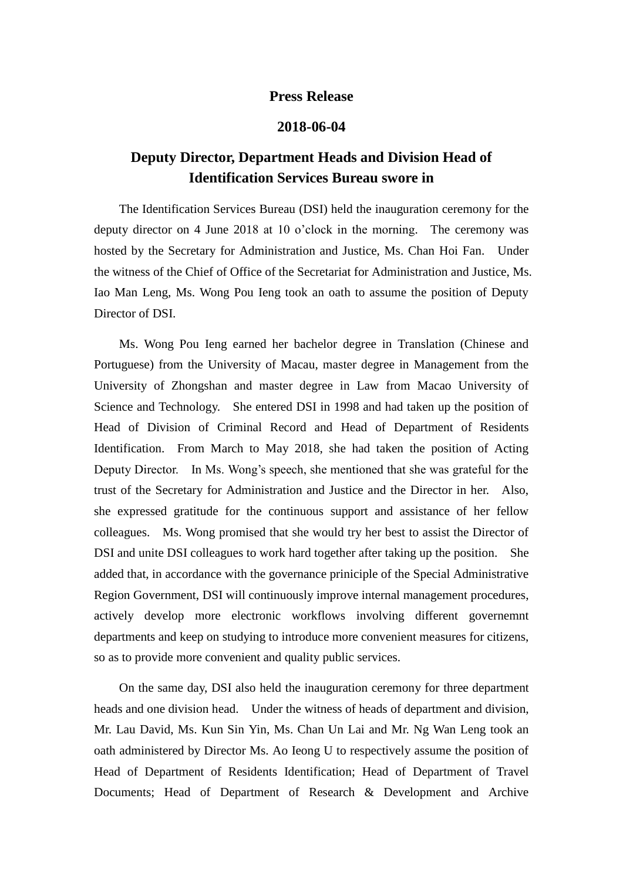## **Press Release**

## **2018-06-04**

## **Deputy Director, Department Heads and Division Head of Identification Services Bureau swore in**

The Identification Services Bureau (DSI) held the inauguration ceremony for the deputy director on 4 June 2018 at 10 o'clock in the morning. The ceremony was hosted by the Secretary for Administration and Justice, Ms. Chan Hoi Fan. Under the witness of the Chief of Office of the Secretariat for Administration and Justice, Ms. Iao Man Leng, Ms. Wong Pou Ieng took an oath to assume the position of Deputy Director of DSI.

Ms. Wong Pou Ieng earned her bachelor degree in Translation (Chinese and Portuguese) from the University of Macau, master degree in Management from the University of Zhongshan and master degree in Law from Macao University of Science and Technology. She entered DSI in 1998 and had taken up the position of Head of Division of Criminal Record and Head of Department of Residents Identification. From March to May 2018, she had taken the position of Acting Deputy Director. In Ms. Wong's speech, she mentioned that she was grateful for the trust of the Secretary for Administration and Justice and the Director in her. Also, she expressed gratitude for the continuous support and assistance of her fellow colleagues. Ms. Wong promised that she would try her best to assist the Director of DSI and unite DSI colleagues to work hard together after taking up the position. She added that, in accordance with the governance priniciple of the Special Administrative Region Government, DSI will continuously improve internal management procedures, actively develop more electronic workflows involving different governemnt departments and keep on studying to introduce more convenient measures for citizens, so as to provide more convenient and quality public services.

On the same day, DSI also held the inauguration ceremony for three department heads and one division head. Under the witness of heads of department and division, Mr. Lau David, Ms. Kun Sin Yin, Ms. Chan Un Lai and Mr. Ng Wan Leng took an oath administered by Director Ms. Ao Ieong U to respectively assume the position of Head of Department of Residents Identification; Head of Department of Travel Documents; Head of Department of Research & Development and Archive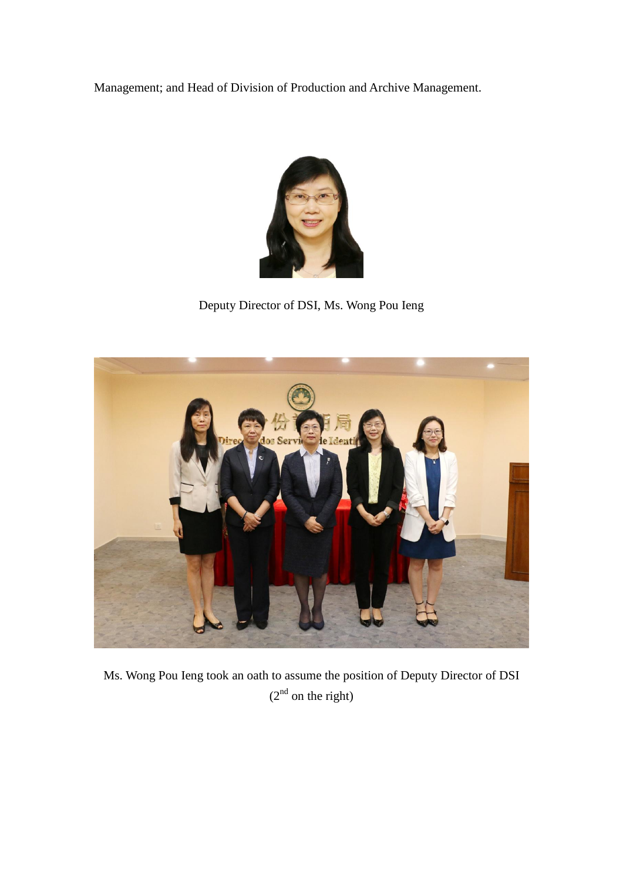Management; and Head of Division of Production and Archive Management.



Deputy Director of DSI, Ms. Wong Pou Ieng



Ms. Wong Pou Ieng took an oath to assume the position of Deputy Director of DSI  $(2<sup>nd</sup>$  on the right)